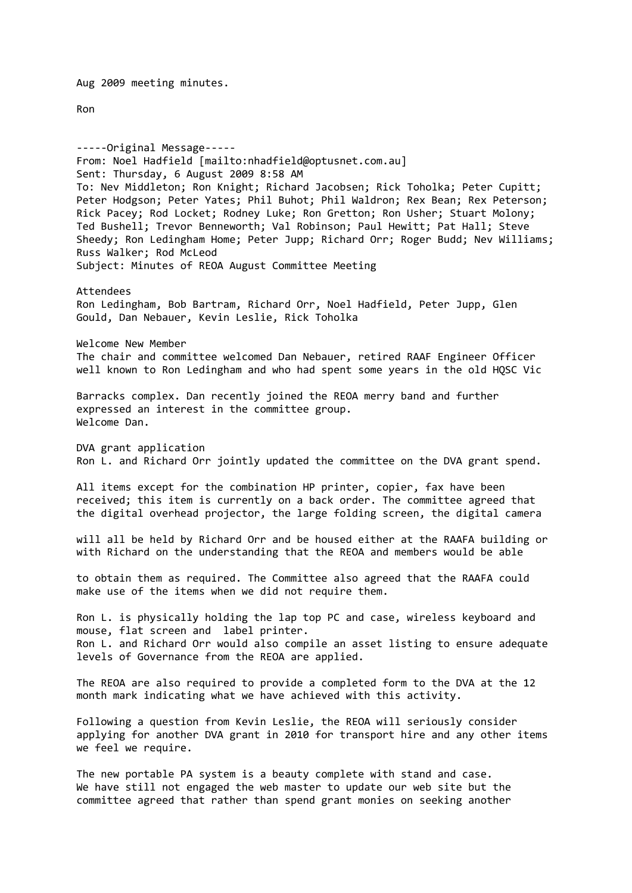Aug 2009 meeting minutes.

Ron

-----Original Message----- From: Noel Hadfield [mailto:nhadfield@optusnet.com.au] Sent: Thursday, 6 August 2009 8:58 AM To: Nev Middleton; Ron Knight; Richard Jacobsen; Rick Toholka; Peter Cupitt; Peter Hodgson; Peter Yates; Phil Buhot; Phil Waldron; Rex Bean; Rex Peterson; Rick Pacey; Rod Locket; Rodney Luke; Ron Gretton; Ron Usher; Stuart Molony; Ted Bushell; Trevor Benneworth; Val Robinson; Paul Hewitt; Pat Hall; Steve Sheedy; Ron Ledingham Home; Peter Jupp; Richard Orr; Roger Budd; Nev Williams; Russ Walker; Rod McLeod Subject: Minutes of REOA August Committee Meeting Attendees Ron Ledingham, Bob Bartram, Richard Orr, Noel Hadfield, Peter Jupp, Glen Gould, Dan Nebauer, Kevin Leslie, Rick Toholka Welcome New Member The chair and committee welcomed Dan Nebauer, retired RAAF Engineer Officer well known to Ron Ledingham and who had spent some years in the old HQSC Vic Barracks complex. Dan recently joined the REOA merry band and further expressed an interest in the committee group. Welcome Dan. DVA grant application Ron L. and Richard Orr jointly updated the committee on the DVA grant spend. All items except for the combination HP printer, copier, fax have been received; this item is currently on a back order. The committee agreed that the digital overhead projector, the large folding screen, the digital camera will all be held by Richard Orr and be housed either at the RAAFA building or with Richard on the understanding that the REOA and members would be able to obtain them as required. The Committee also agreed that the RAAFA could make use of the items when we did not require them. Ron L. is physically holding the lap top PC and case, wireless keyboard and mouse, flat screen and label printer. Ron L. and Richard Orr would also compile an asset listing to ensure adequate levels of Governance from the REOA are applied. The REOA are also required to provide a completed form to the DVA at the 12 month mark indicating what we have achieved with this activity. Following a question from Kevin Leslie, the REOA will seriously consider applying for another DVA grant in 2010 for transport hire and any other items we feel we require. The new portable PA system is a beauty complete with stand and case. We have still not engaged the web master to update our web site but the committee agreed that rather than spend grant monies on seeking another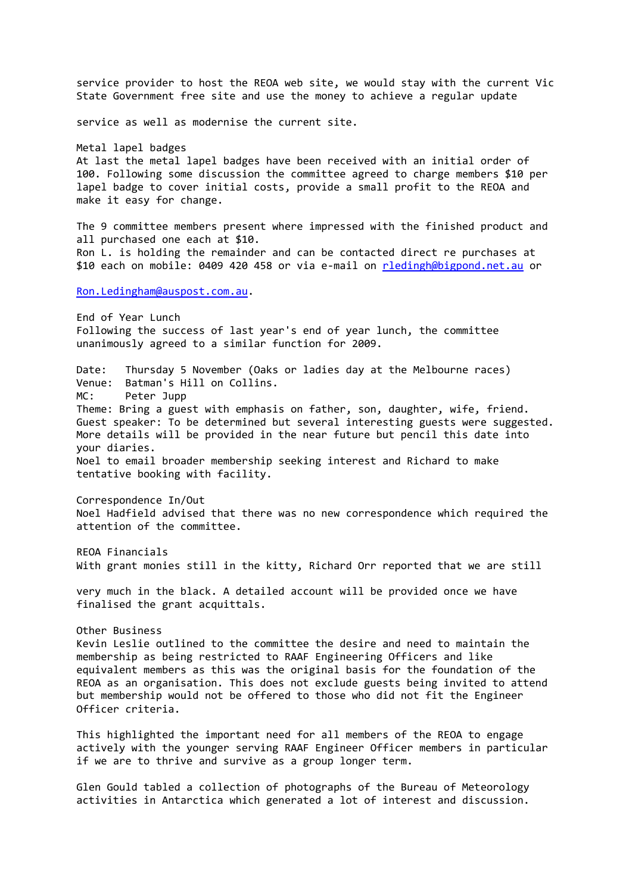service provider to host the REOA web site, we would stay with the current Vic State Government free site and use the money to achieve a regular update service as well as modernise the current site. Metal lapel badges At last the metal lapel badges have been received with an initial order of 100. Following some discussion the committee agreed to charge members \$10 per lapel badge to cover initial costs, provide a small profit to the REOA and make it easy for change. The 9 committee members present where impressed with the finished product and all purchased one each at \$10. Ron L. is holding the remainder and can be contacted direct re purchases at \$10 each on mobile: 0409 420 458 or via e-mail on [rledingh@bigpond.net.au](mailto:rledingh@bigpond.net.au) or [Ron.Ledingham@auspost.com.au.](mailto:Ron.Ledingham@auspost.com.au) End of Year Lunch Following the success of last year's end of year lunch, the committee unanimously agreed to a similar function for 2009. Date: Thursday 5 November (Oaks or ladies day at the Melbourne races) Venue: Batman's Hill on Collins. MC: Peter Jupp Theme: Bring a guest with emphasis on father, son, daughter, wife, friend. Guest speaker: To be determined but several interesting guests were suggested. More details will be provided in the near future but pencil this date into your diaries. Noel to email broader membership seeking interest and Richard to make tentative booking with facility. Correspondence In/Out Noel Hadfield advised that there was no new correspondence which required the attention of the committee. REOA Financials With grant monies still in the kitty, Richard Orr reported that we are still very much in the black. A detailed account will be provided once we have finalised the grant acquittals. Other Business Kevin Leslie outlined to the committee the desire and need to maintain the membership as being restricted to RAAF Engineering Officers and like equivalent members as this was the original basis for the foundation of the REOA as an organisation. This does not exclude guests being invited to attend but membership would not be offered to those who did not fit the Engineer Officer criteria. This highlighted the important need for all members of the REOA to engage actively with the younger serving RAAF Engineer Officer members in particular if we are to thrive and survive as a group longer term. Glen Gould tabled a collection of photographs of the Bureau of Meteorology activities in Antarctica which generated a lot of interest and discussion.